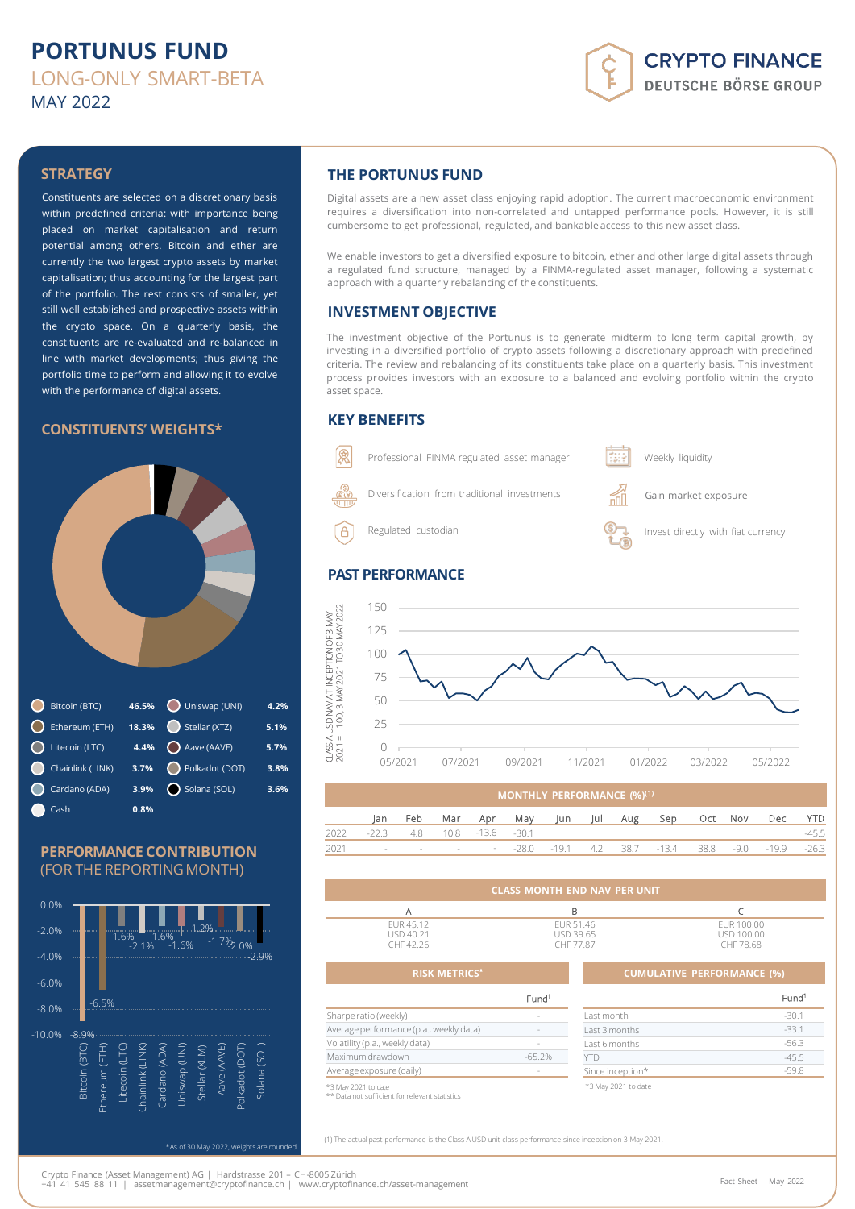## **PORTUNUS FUND** LONG-ONLY SMART-BETA MAY 2022

# **CRYPTO FINANCE DEUTSCHE BÖRSE GROUP**

### **STRATEGY**

Constituents are selected on a discretionary basis within predefined criteria: with importance being placed on market capitalisation and return potential among others. Bitcoin and ether are currently the two largest crypto assets by market capitalisation; thus accounting for the largest part of the portfolio. The rest consists of smaller, yet still well established and prospective assets within the crypto space. On a quarterly basis, the constituents are re-evaluated and re-balanced in line with market developments; thus giving the portfolio time to perform and allowing it to evolve with the performance of digital assets.

#### **CONSTITUENTS' WEIGHTS\***



#### **PERFORMANCE CONTRIBUTION** (FOR THE REPORTING MONTH)



### **THE PORTUNUS FUND**

Digital assets are a new asset class enjoying rapid adoption. The current macroeconomic environment requires a diversification into non-correlated and untapped performance pools. However, it is still cumbersome to get professional, regulated, and bankable access to this new asset class.

We enable investors to get a diversified exposure to bitcoin, ether and other large digital assets through a regulated fund structure, managed by a FINMA-regulated asset manager, following a systematic approach with a quarterly rebalancing of the constituents.

#### **INVESTMENT OBJECTIVE**

The investment objective of the Portunus is to generate midterm to long term capital growth, by investing in a diversified portfolio of crypto assets following a discretionary approach with predefined criteria. The review and rebalancing of its constituents take place on a quarterly basis. This investment process provides investors with an exposure to a balanced and evolving portfolio within the crypto asset space.

#### **KEY BENEFITS**



#### **PAST PERFORMANCE**



|      | <b>MONTHLY PERFORMANCE (%)<sup>(1)</sup></b> |  |  |                                  |                                 |  |  |                                                           |  |             |            |
|------|----------------------------------------------|--|--|----------------------------------|---------------------------------|--|--|-----------------------------------------------------------|--|-------------|------------|
|      | lan.                                         |  |  |                                  | Feb Mar Apr May Jun Jul Aug Sep |  |  |                                                           |  | Oct Nov Dec | <b>YTD</b> |
| 2022 |                                              |  |  | $-22.3$ 4.8 10.8 $-13.6$ $-30.1$ |                                 |  |  |                                                           |  |             | -45.5      |
| 2021 |                                              |  |  |                                  |                                 |  |  | - - - - - - - -28.0 -19.1 - 4.2 - 38.7 -13.4 - 38.8 - 9.0 |  | -19.9       | $-26.3$    |

|                                     | CLASS MONTH END NAV PER UNIT        |                                       |
|-------------------------------------|-------------------------------------|---------------------------------------|
|                                     | в                                   |                                       |
| FUR 45.12<br>USD 40.21<br>CHF 42.26 | EUR 51.46<br>USD 39.65<br>CHF 77.87 | EUR 100.00<br>USD 100.00<br>CHF 78.68 |

#### **RISK METRICS\* CUMULATIVE PERFORMANCE (%)** Fund<sup>1</sup> Sharpe ratio (weekly) Average performance (p.a., weekly data) Volatility (p.a., weekly data) Maximum drawdown example and the set of  $-65.2\%$

\*3 May 2021 to date \*\* Data not sufficient forrelevant statistics

Average exposure (daily)

|                     | Fund <sup>1</sup> |
|---------------------|-------------------|
| Last month          | $-30.1$           |
| Last 3 months       | $-33.1$           |
| Last 6 months       | $-56.3$           |
| YTD                 | $-45.5$           |
| Since inception*    | $-59.8$           |
| *3 May 2021 to date |                   |

(1) The actual past performance is the Class A USD unit class performance since inception on 3 May 2021.

\*As of 30 May 2022, weights are rounded